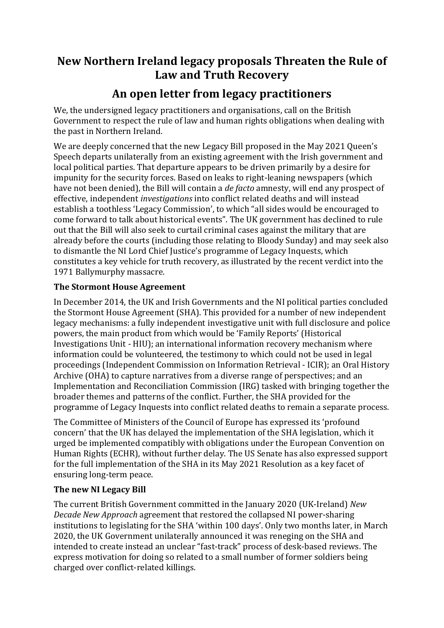## **New Northern Ireland legacy proposals Threaten the Rule of Law and Truth Recovery**

## **An open letter from legacy practitioners**

We, the undersigned legacy practitioners and organisations, call on the British Government to respect the rule of law and human rights obligations when dealing with the past in Northern Ireland.

We are deeply concerned that the new Legacy Bill proposed in the May 2021 Queen's Speech departs unilaterally from an existing agreement with the Irish government and local political parties. That departure appears to be driven primarily by a desire for impunity for the security forces. Based on leaks to right-leaning newspapers (which have not been denied), the Bill will contain a *de facto* amnesty, will end any prospect of effective, independent *investigations* into conflict related deaths and will instead establish a toothless 'Legacy Commission', to which "all sides would be encouraged to come forward to talk about historical events". The UK government has declined to rule out that the Bill will also seek to curtail criminal cases against the military that are already before the courts (including those relating to Bloody Sunday) and may seek also to dismantle the NI Lord Chief Justice's programme of Legacy Inquests, which constitutes a key vehicle for truth recovery, as illustrated by the recent verdict into the 1971 Ballymurphy massacre.

## **The Stormont House Agreement**

In December 2014, the UK and Irish Governments and the NI political parties concluded the Stormont House Agreement (SHA). This provided for a number of new independent legacy mechanisms: a fully independent investigative unit with full disclosure and police powers, the main product from which would be 'Family Reports' (Historical Investigations Unit - HIU); an international information recovery mechanism where information could be volunteered, the testimony to which could not be used in legal proceedings (Independent Commission on Information Retrieval - ICIR); an Oral History Archive (OHA) to capture narratives from a diverse range of perspectives; and an Implementation and Reconciliation Commission (IRG) tasked with bringing together the broader themes and patterns of the conflict. Further, the SHA provided for the programme of Legacy Inquests into conflict related deaths to remain a separate process.

The Committee of Ministers of the Council of Europe has expressed its 'profound concern' that the UK has delayed the implementation of the SHA legislation, which it urged be implemented compatibly with obligations under the European Convention on Human Rights (ECHR), without further delay. The US Senate has also expressed support for the full implementation of the SHA in its May 2021 Resolution as a key facet of ensuring long-term peace.

## **The new NI Legacy Bill**

The current British Government committed in the January 2020 (UK-Ireland) *New Decade New Approach* agreement that restored the collapsed NI power-sharing institutions to legislating for the SHA 'within 100 days'. Only two months later, in March 2020, the UK Government unilaterally announced it was reneging on the SHA and intended to create instead an unclear "fast-track" process of desk-based reviews. The express motivation for doing so related to a small number of former soldiers being charged over conflict-related killings.